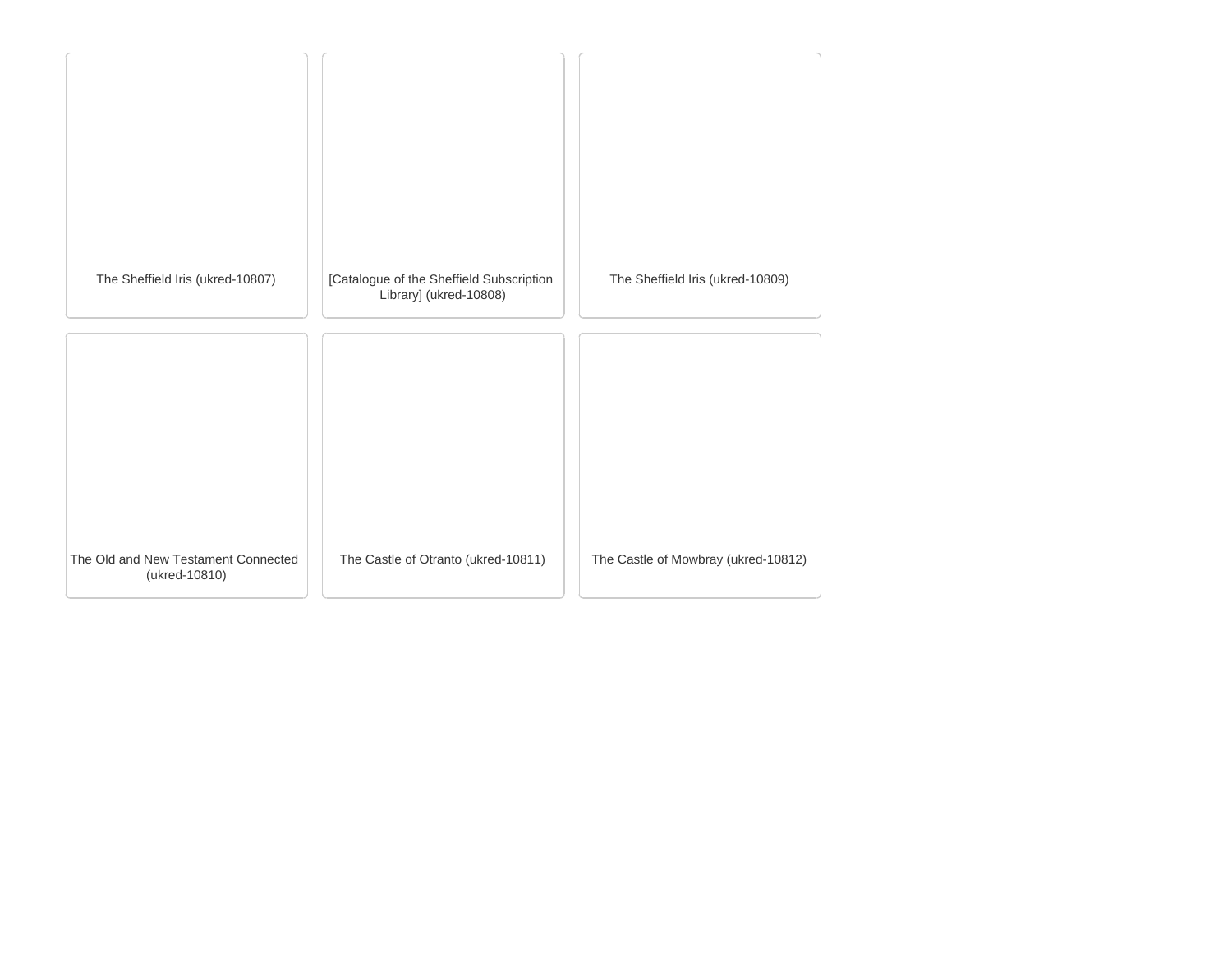| The Sheffield Iris (ukred-10807)                     | [Catalogue of the Sheffield Subscription<br>Library] (ukred-10808) | The Sheffield Iris (ukred-10809)    |
|------------------------------------------------------|--------------------------------------------------------------------|-------------------------------------|
|                                                      |                                                                    |                                     |
|                                                      |                                                                    |                                     |
| The Old and New Testament Connected<br>(ukred-10810) | The Castle of Otranto (ukred-10811)                                | The Castle of Mowbray (ukred-10812) |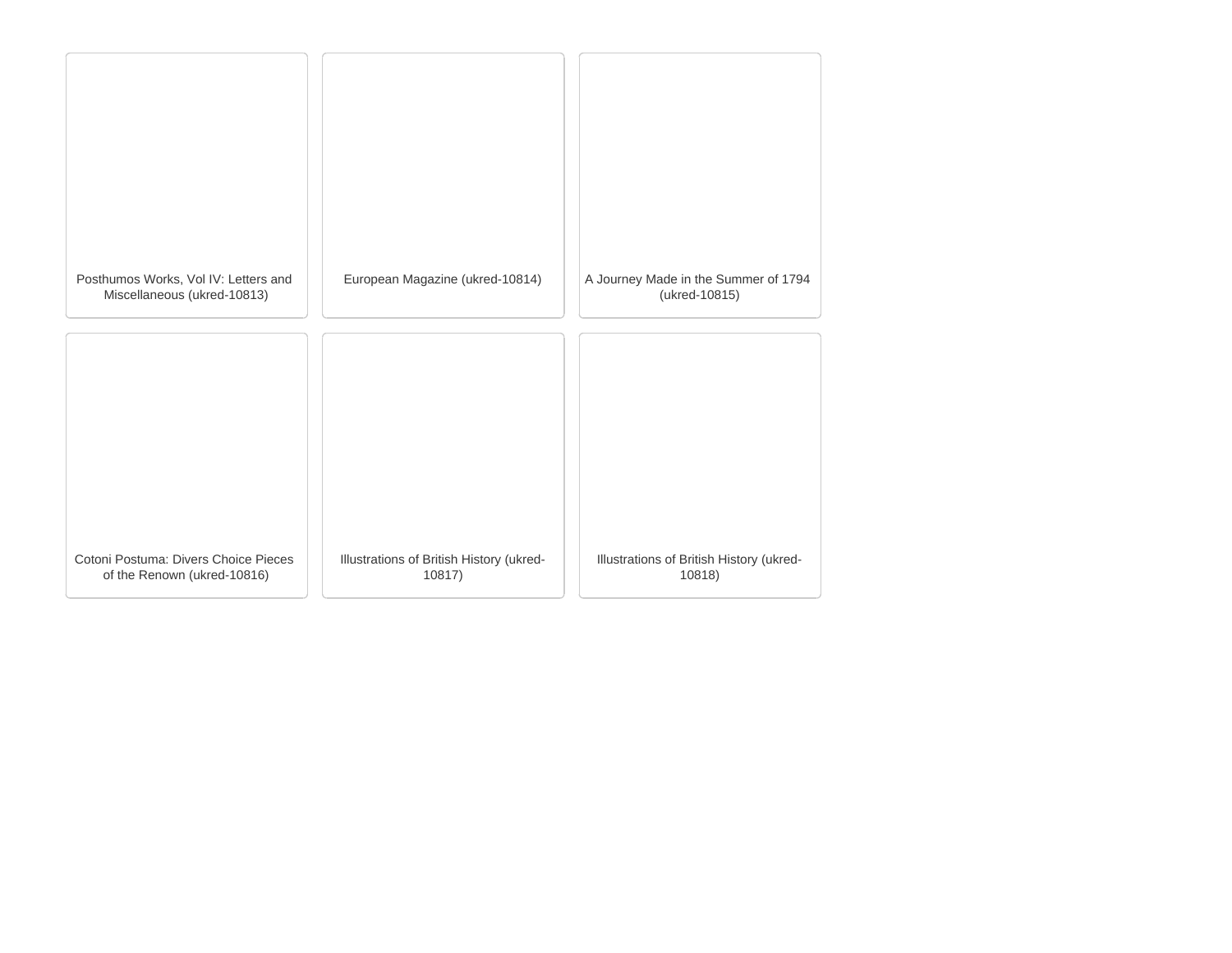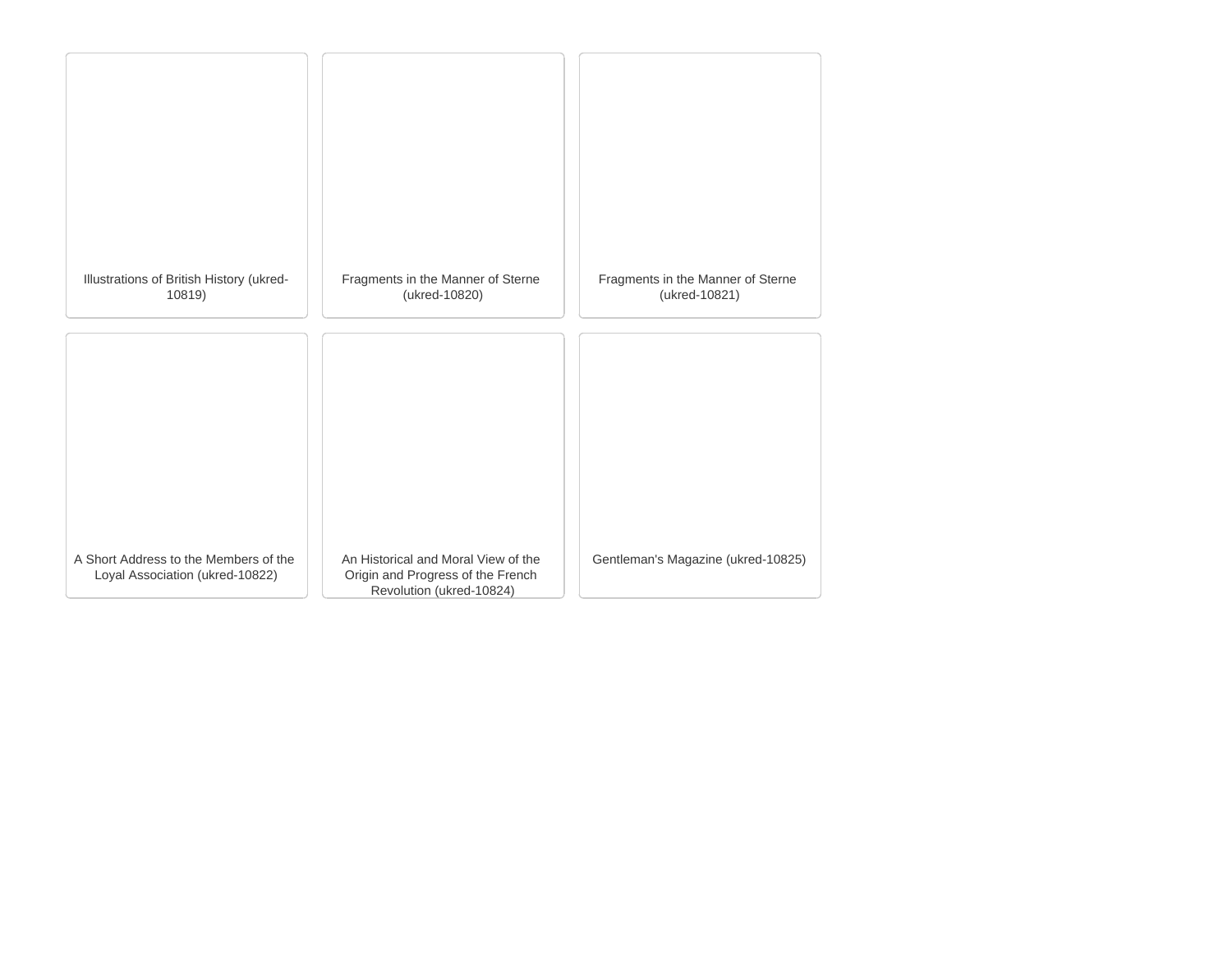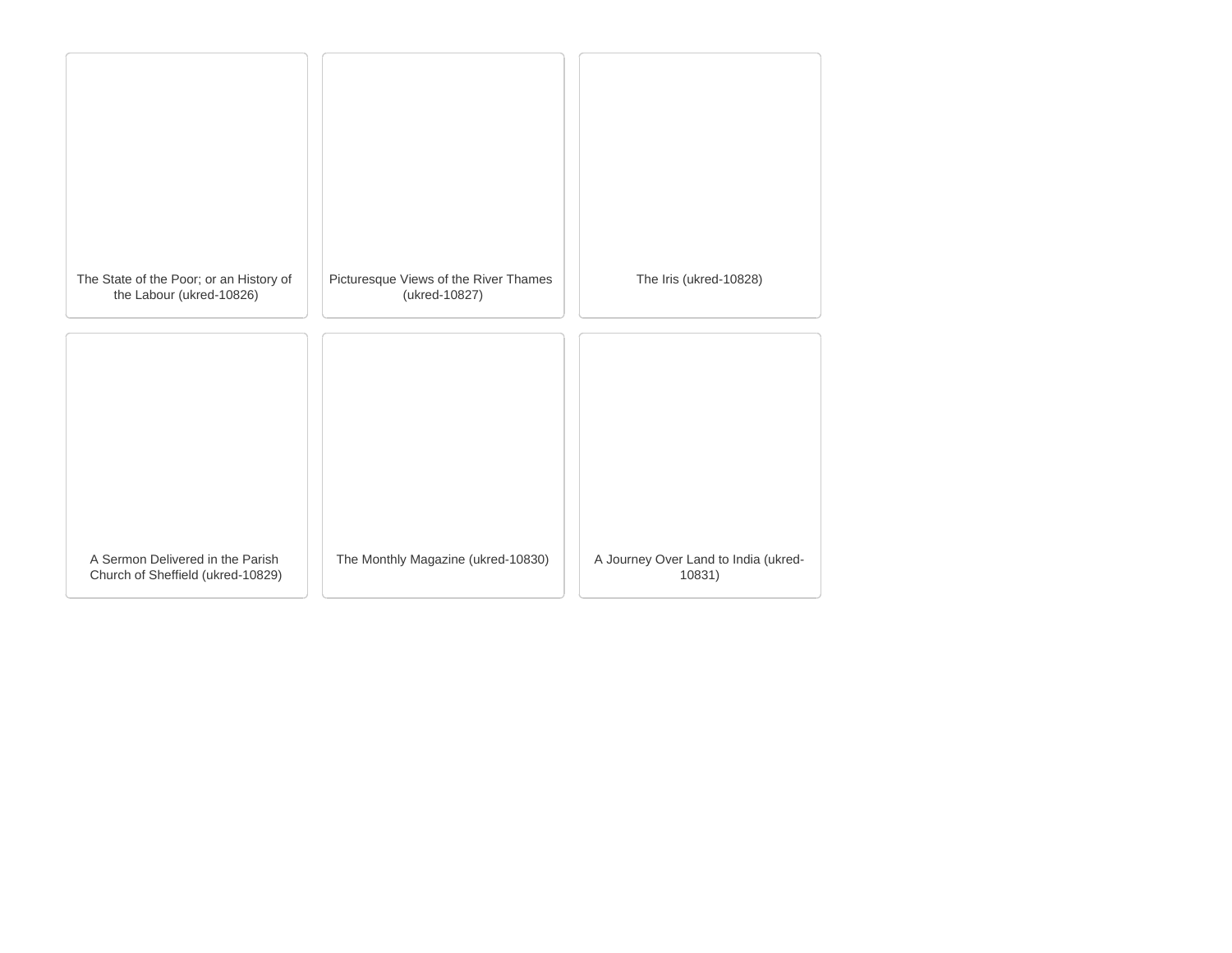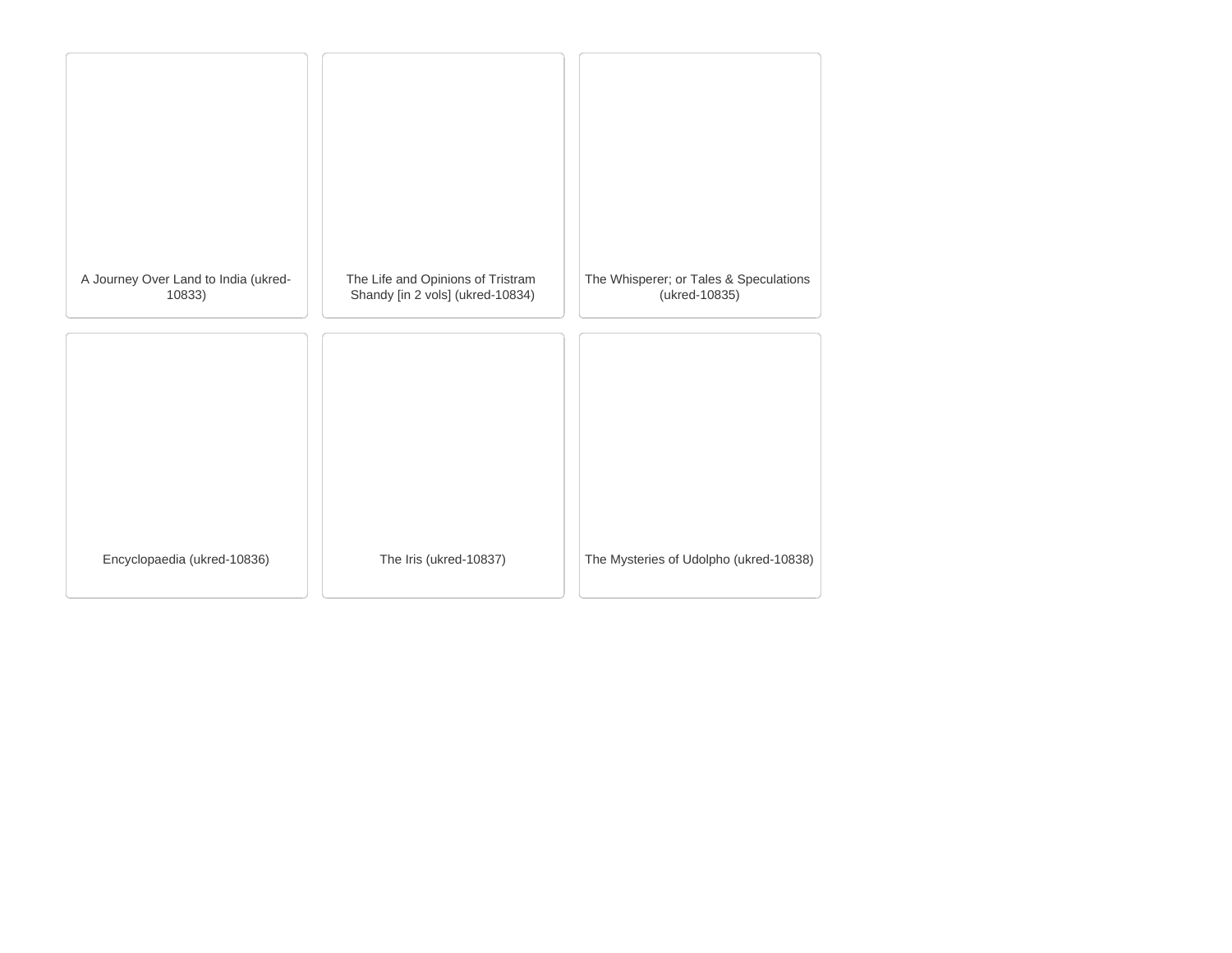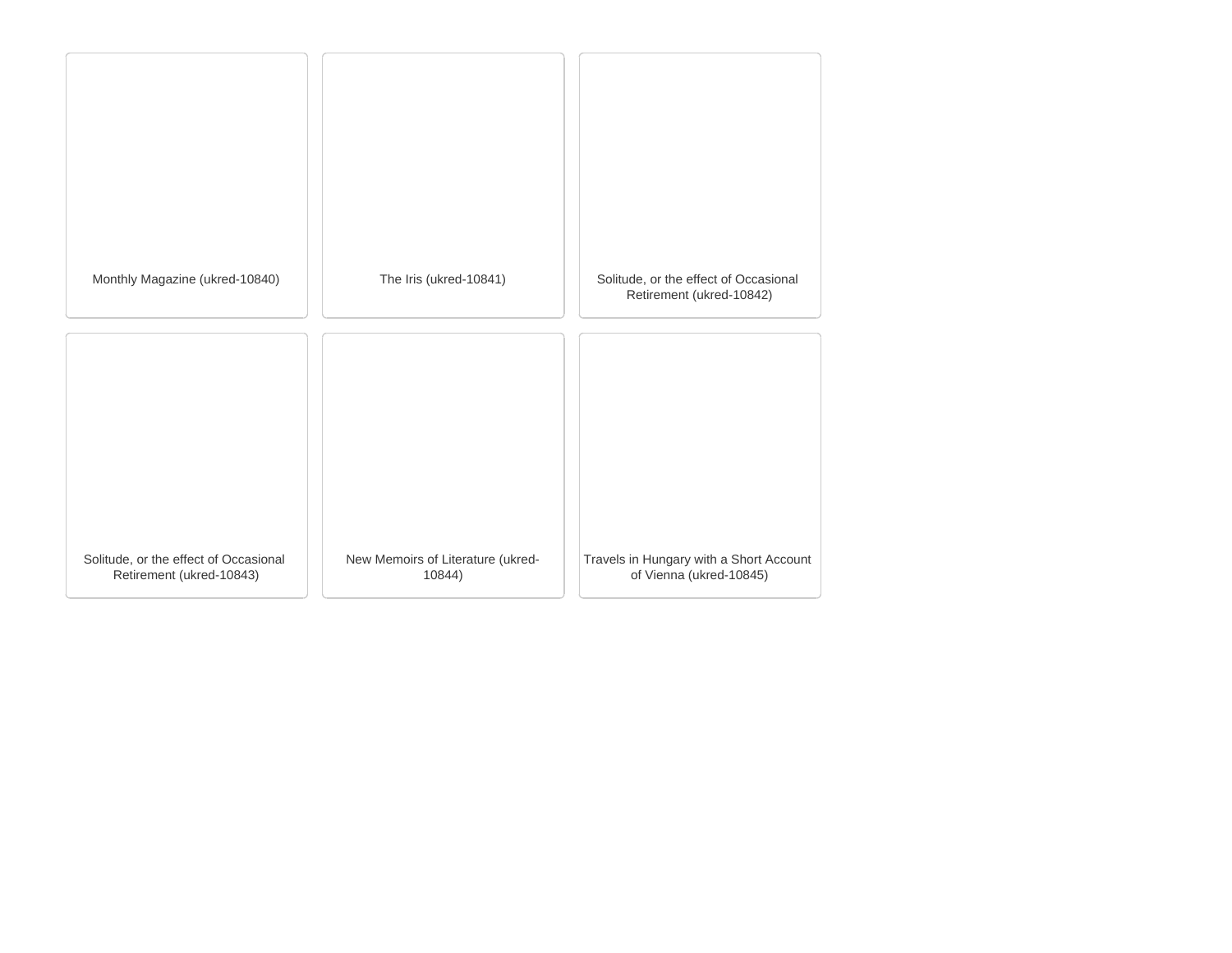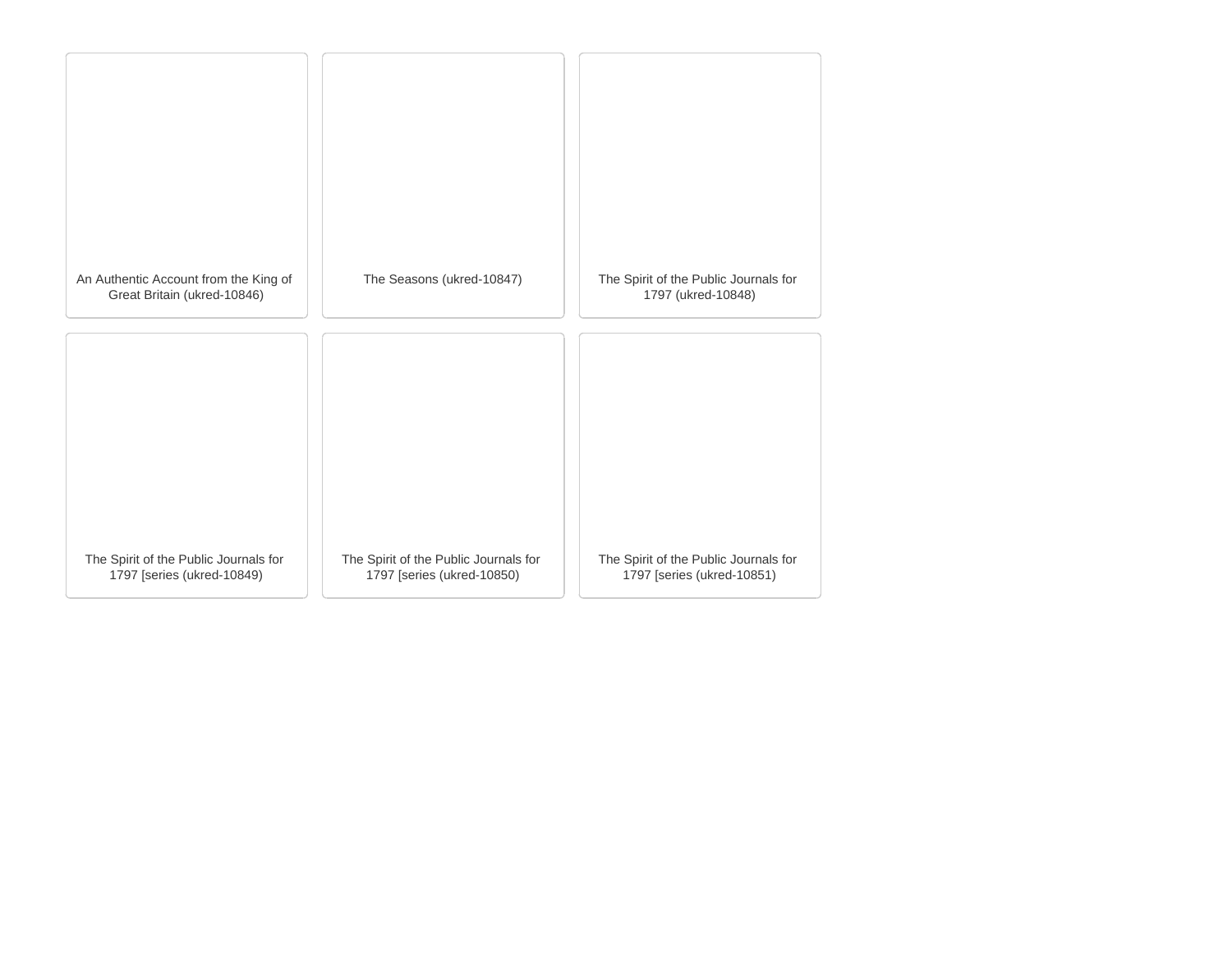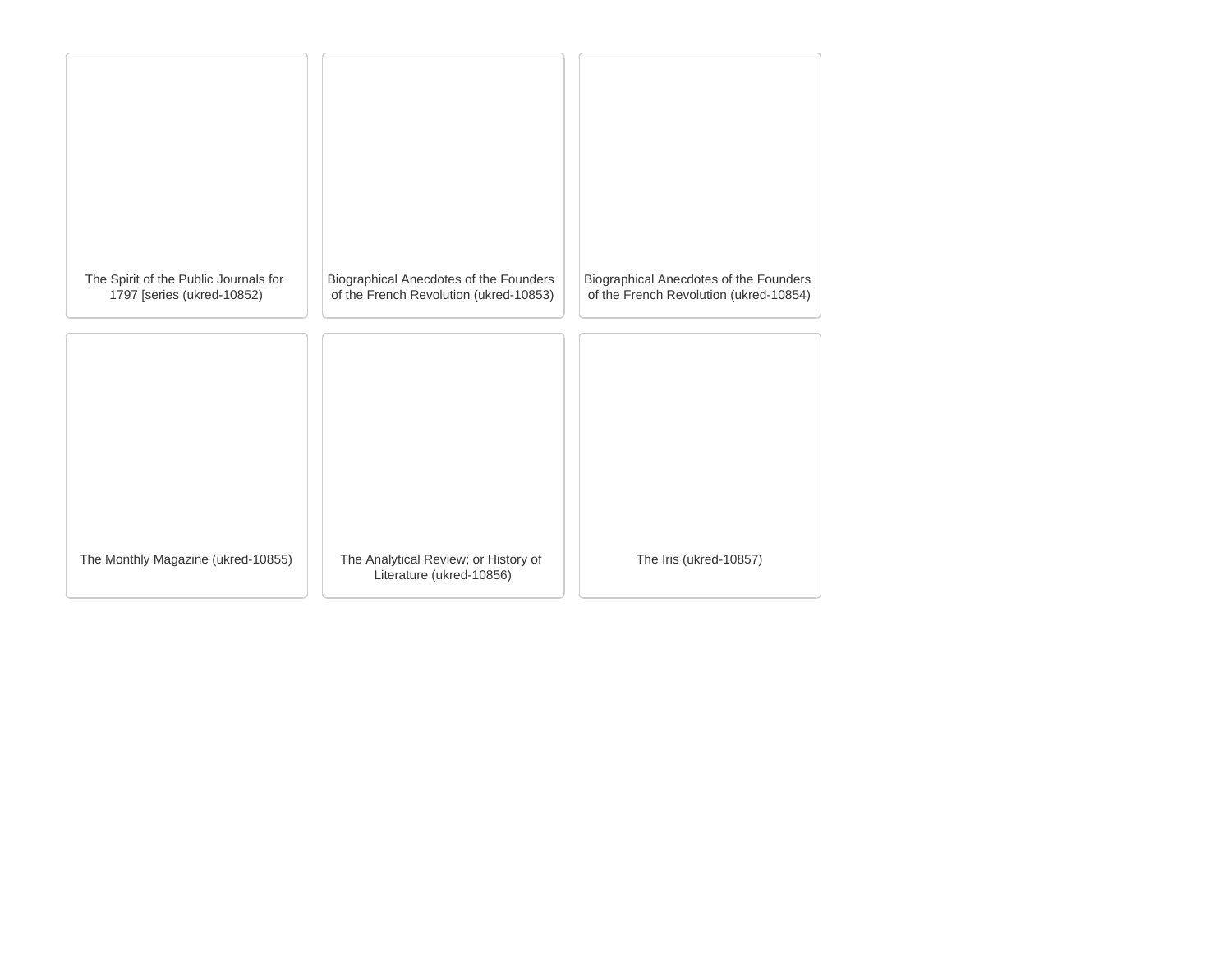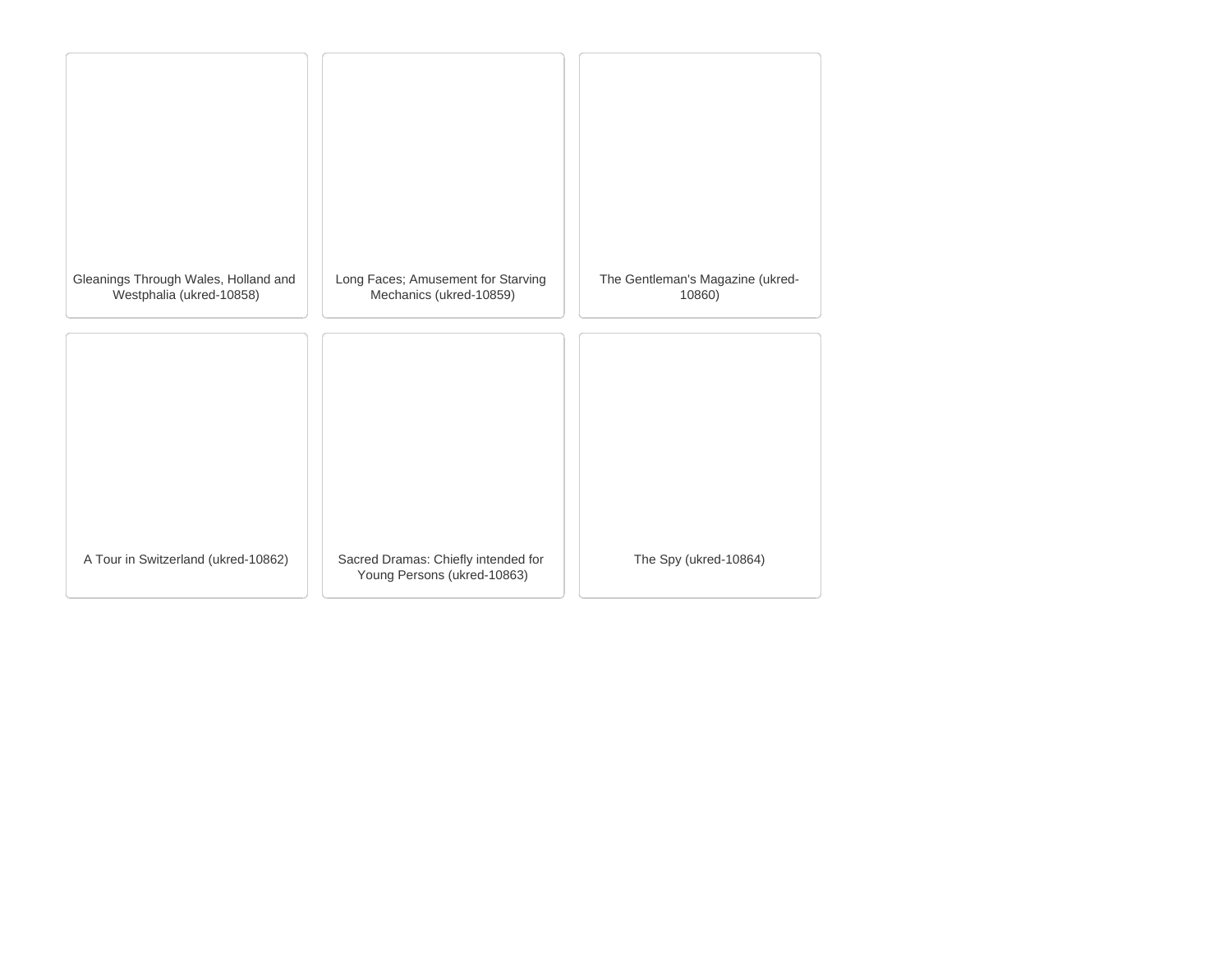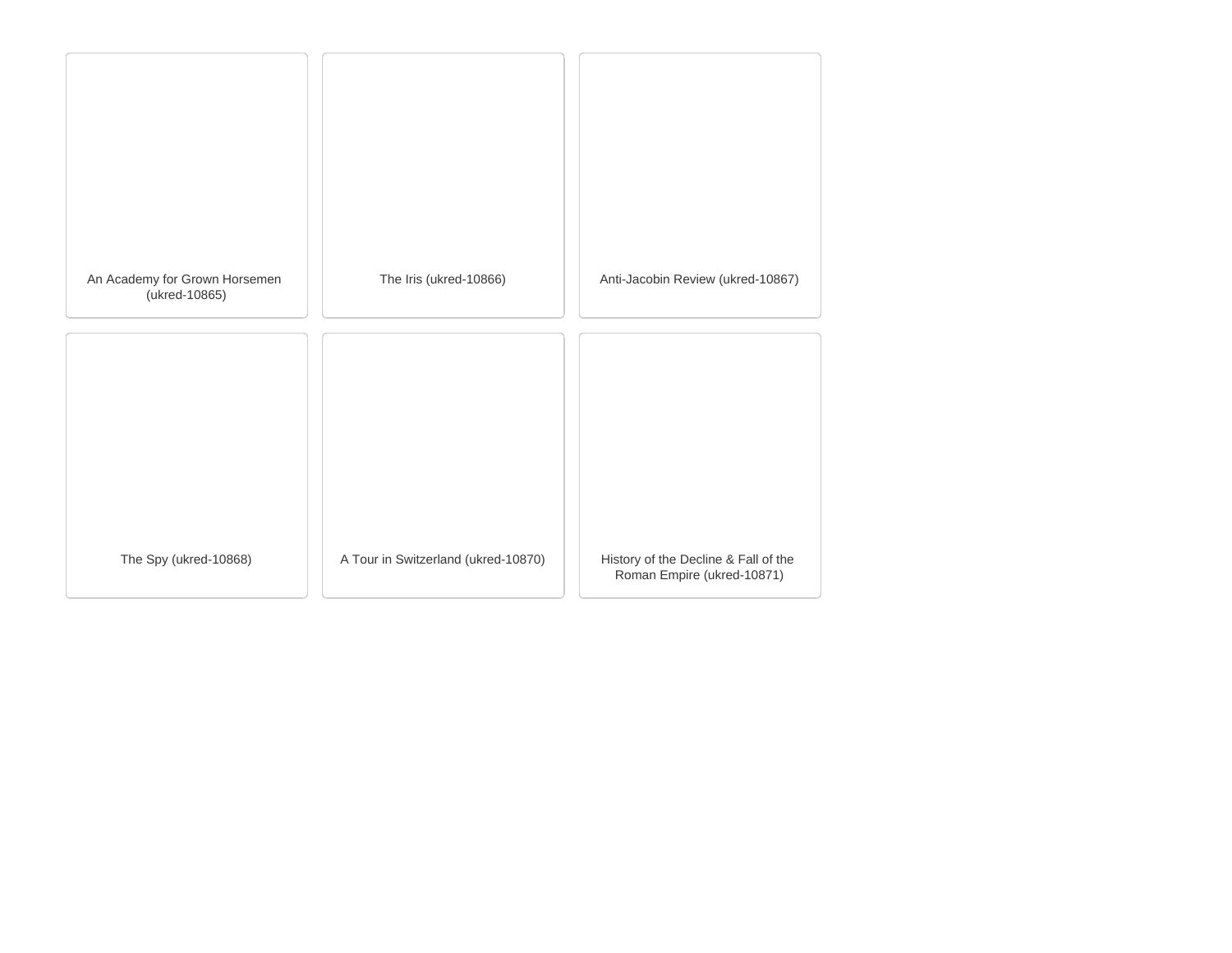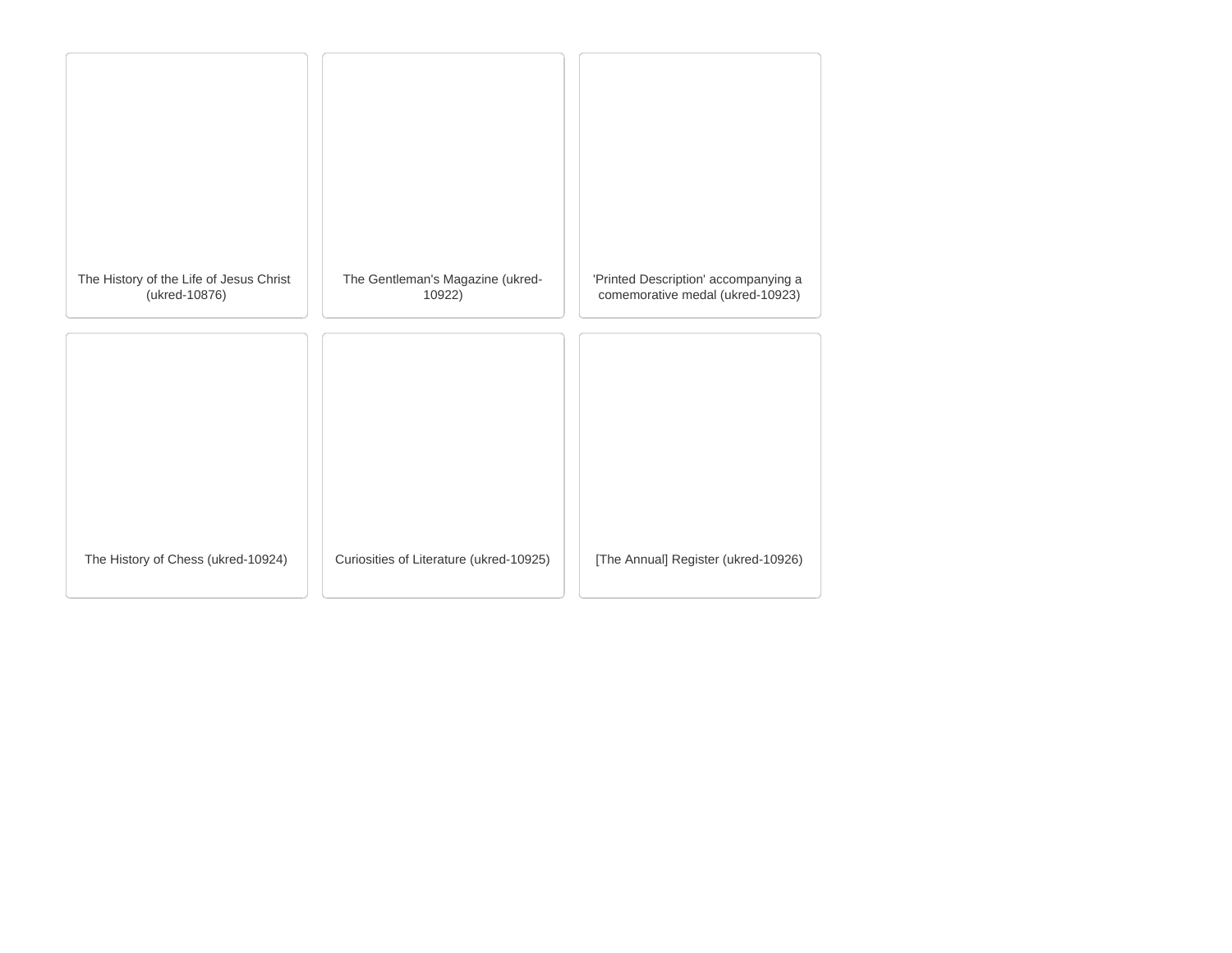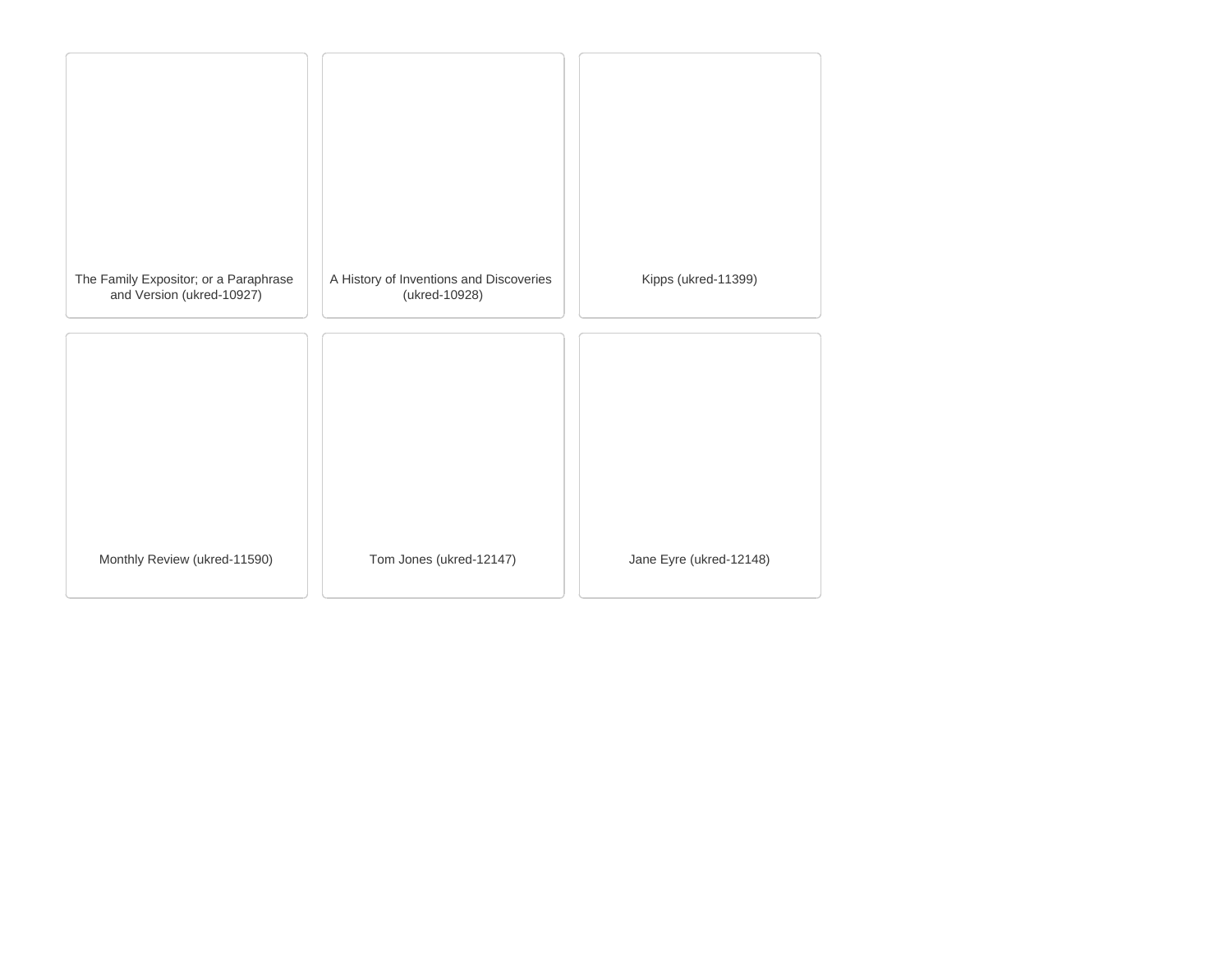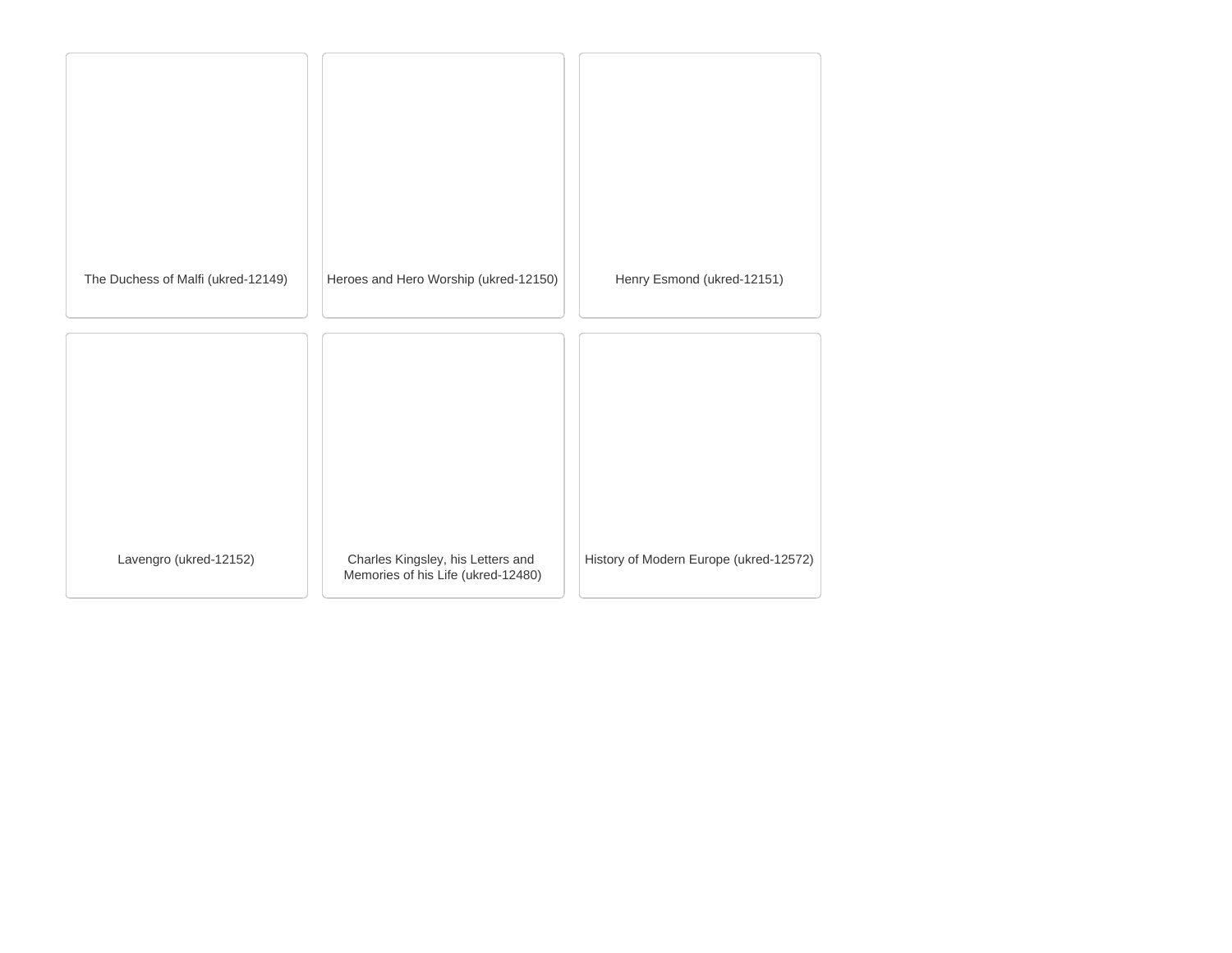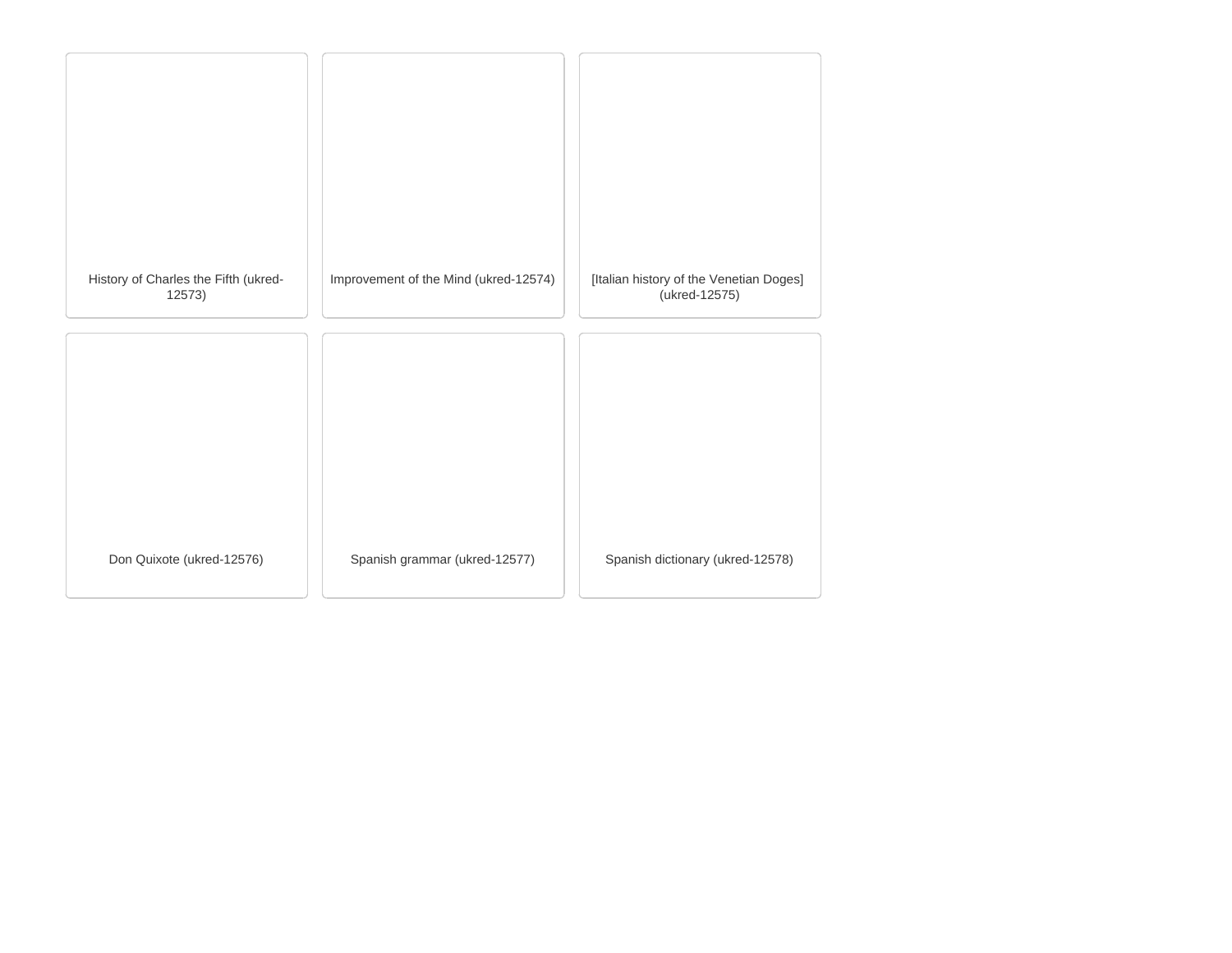| History of Charles the Fifth (ukred-<br>12573) | Improvement of the Mind (ukred-12574) | [Italian history of the Venetian Doges]<br>(ukred-12575) |
|------------------------------------------------|---------------------------------------|----------------------------------------------------------|
|                                                |                                       |                                                          |
|                                                |                                       |                                                          |
| Don Quixote (ukred-12576)                      | Spanish grammar (ukred-12577)         | Spanish dictionary (ukred-12578)                         |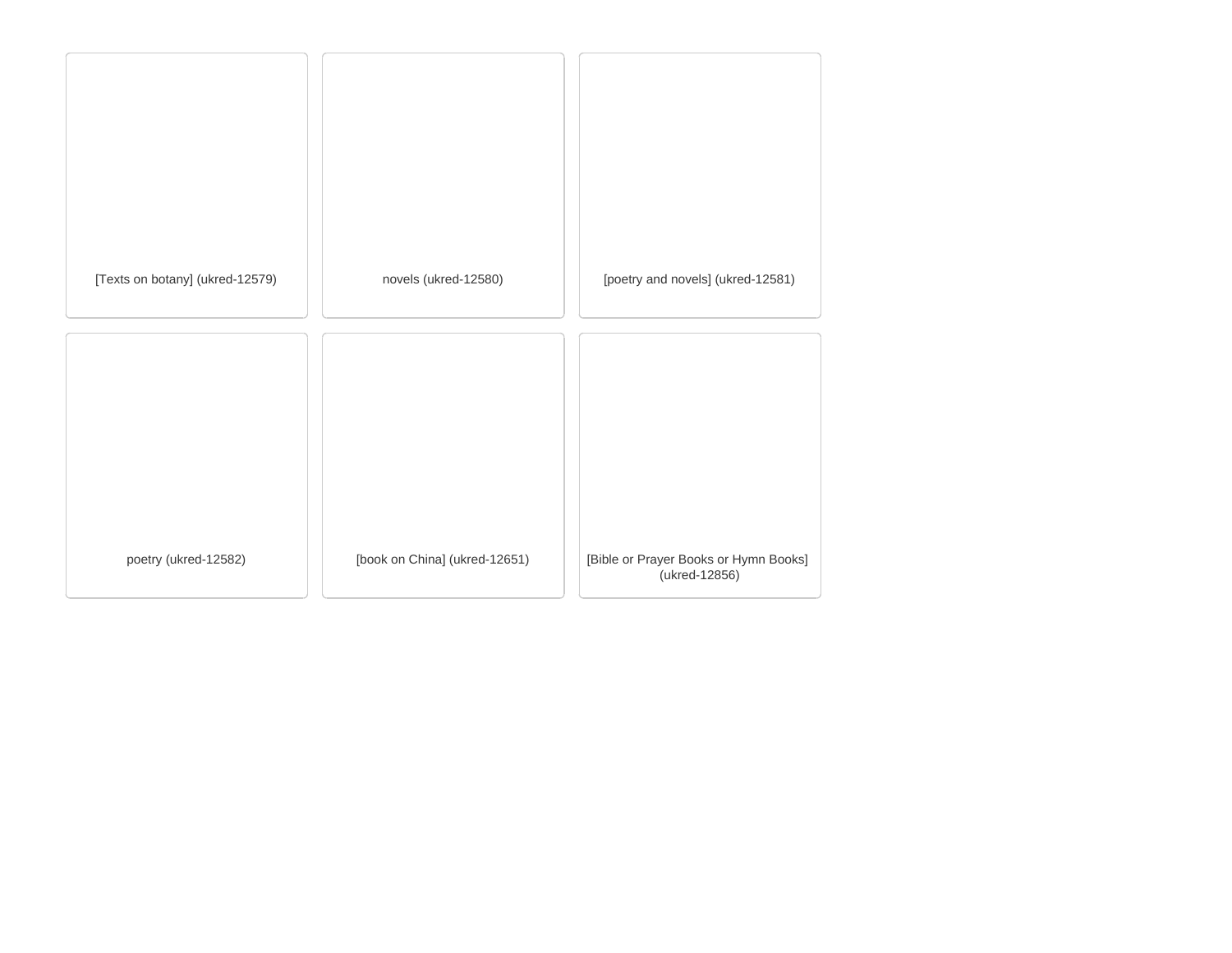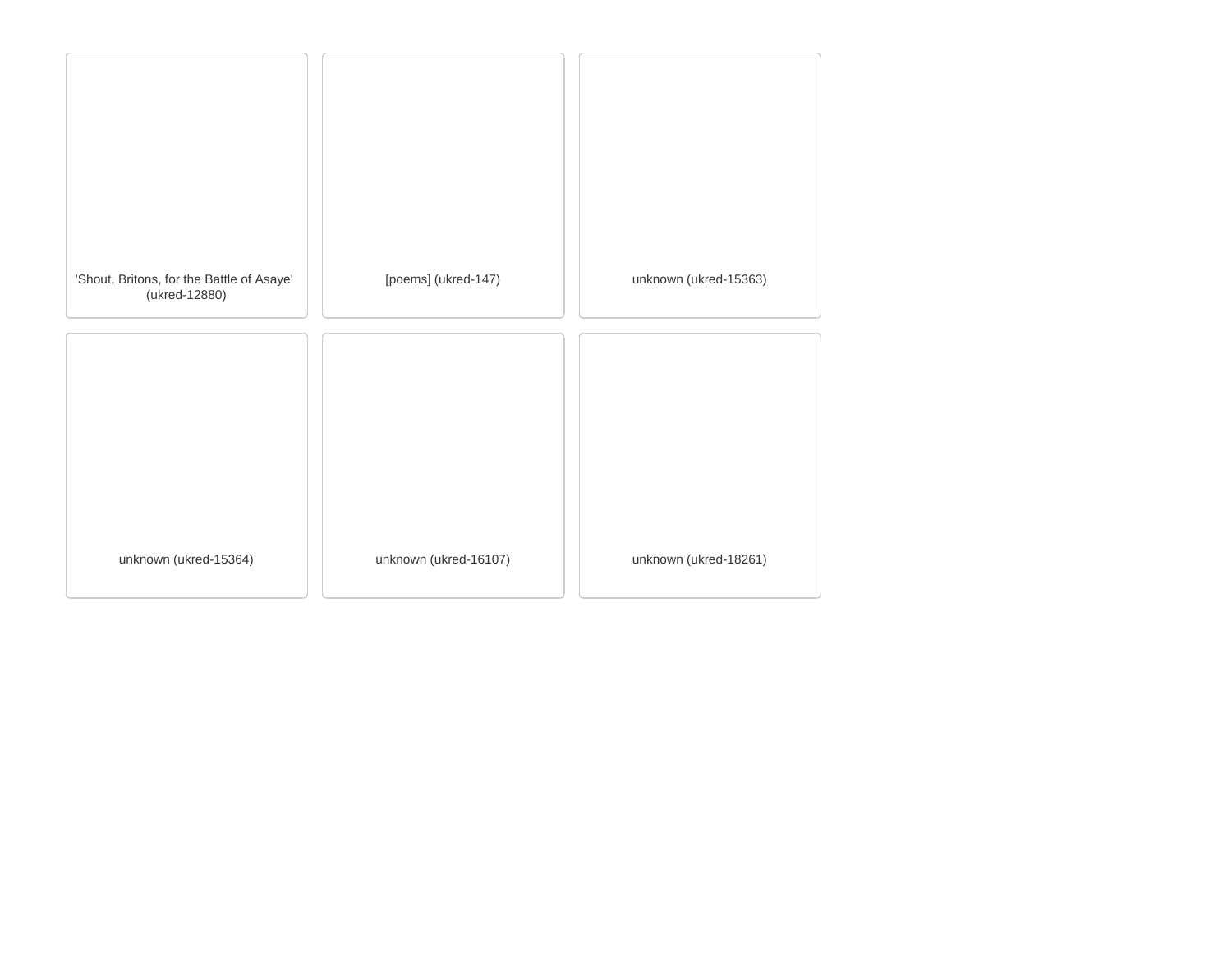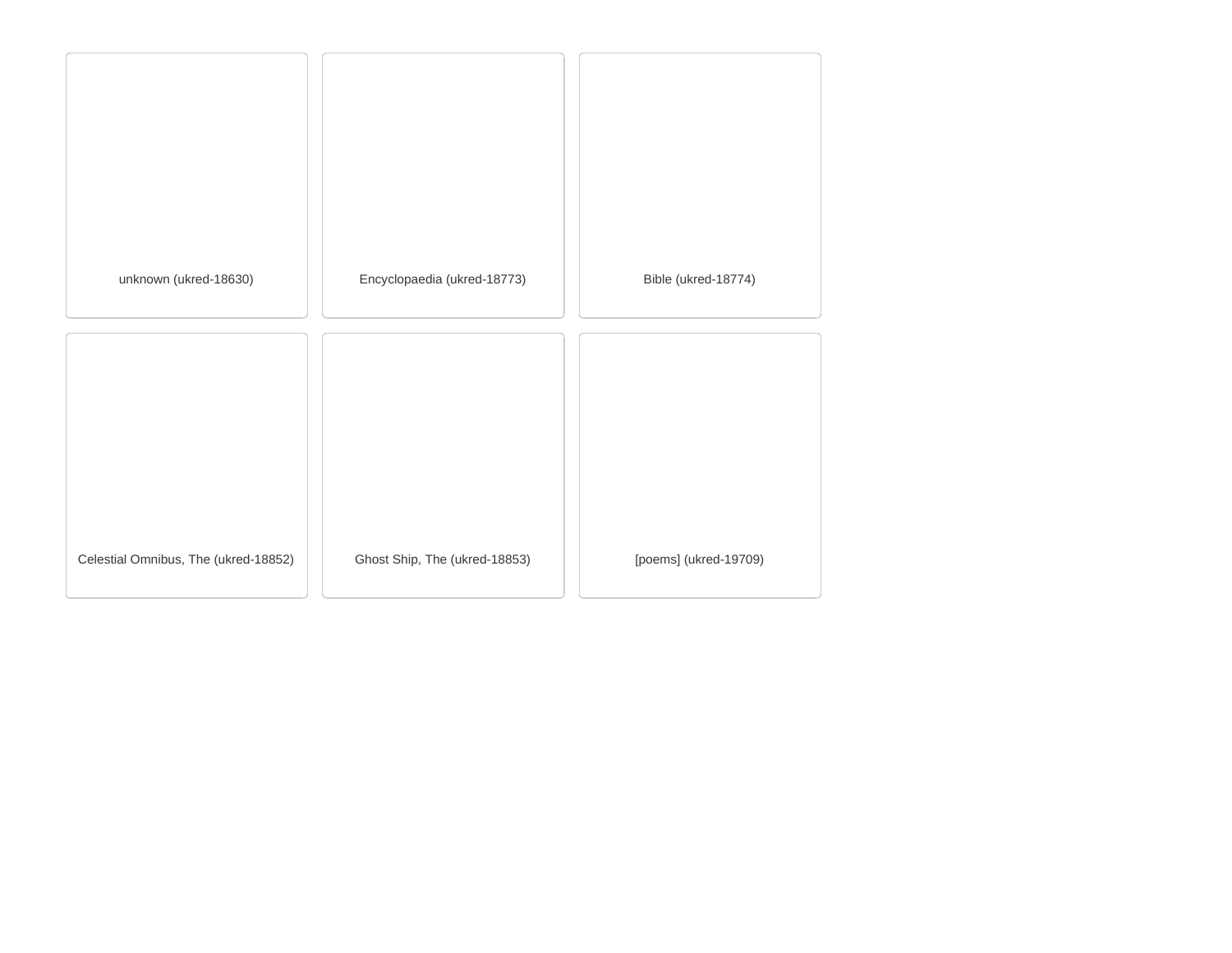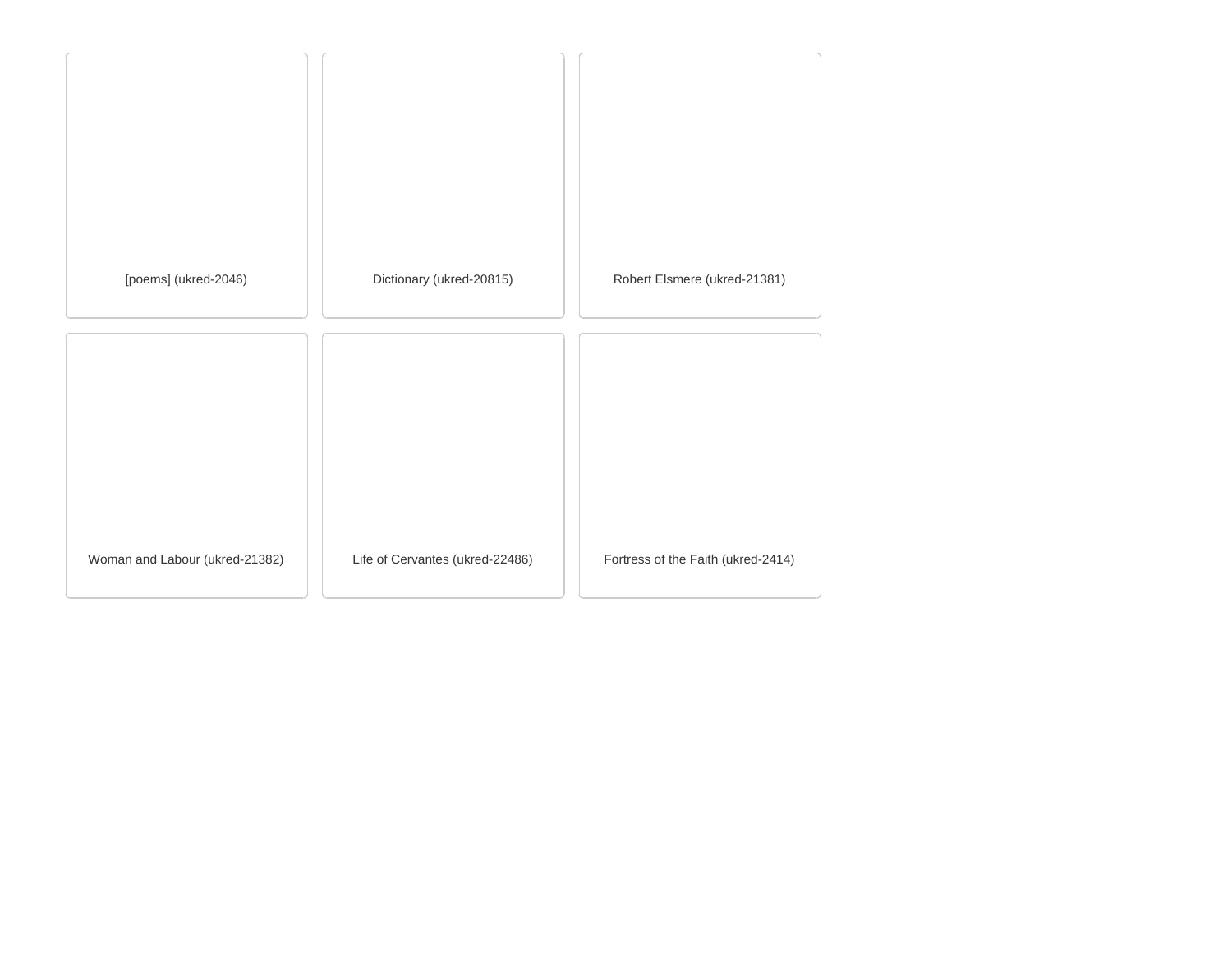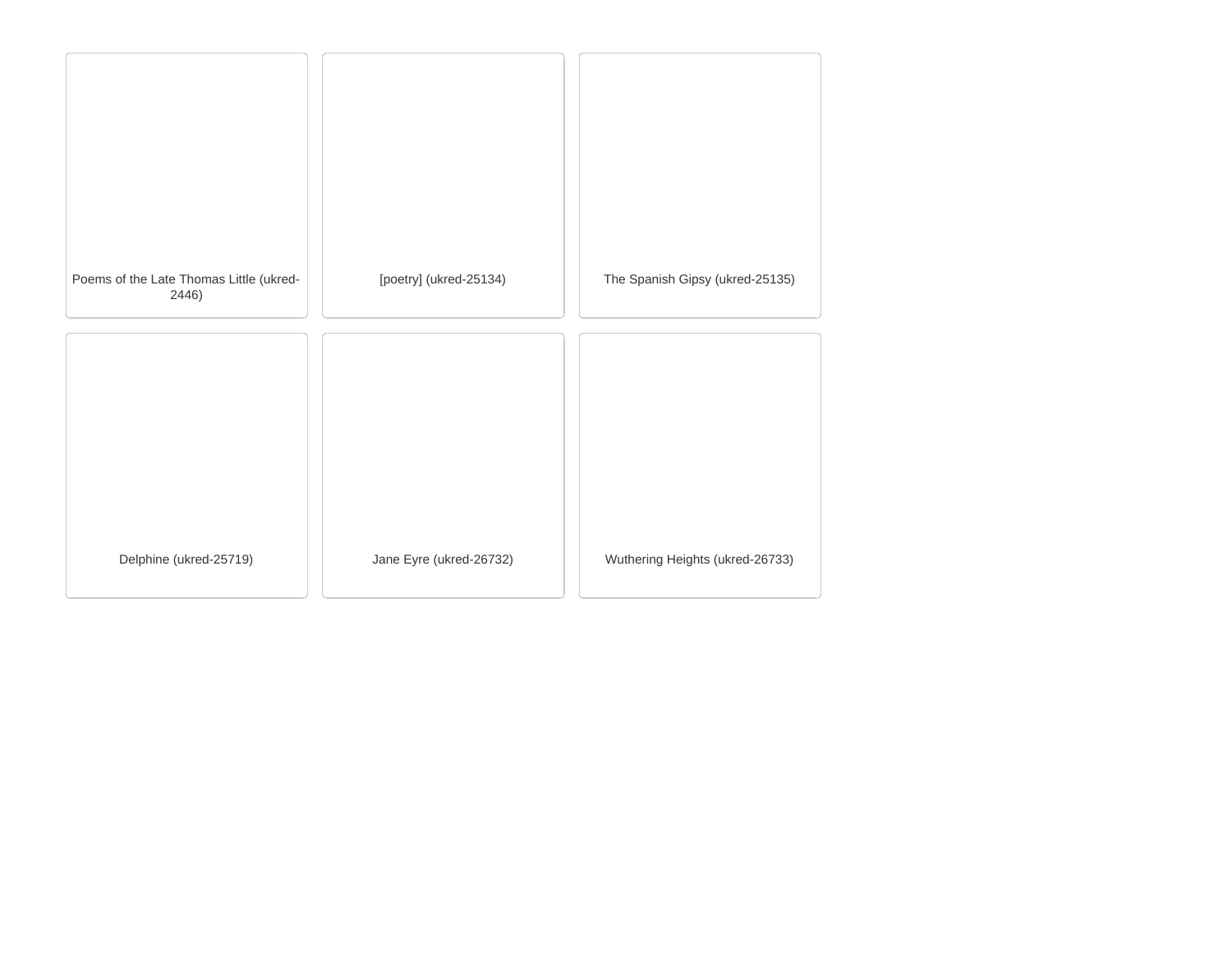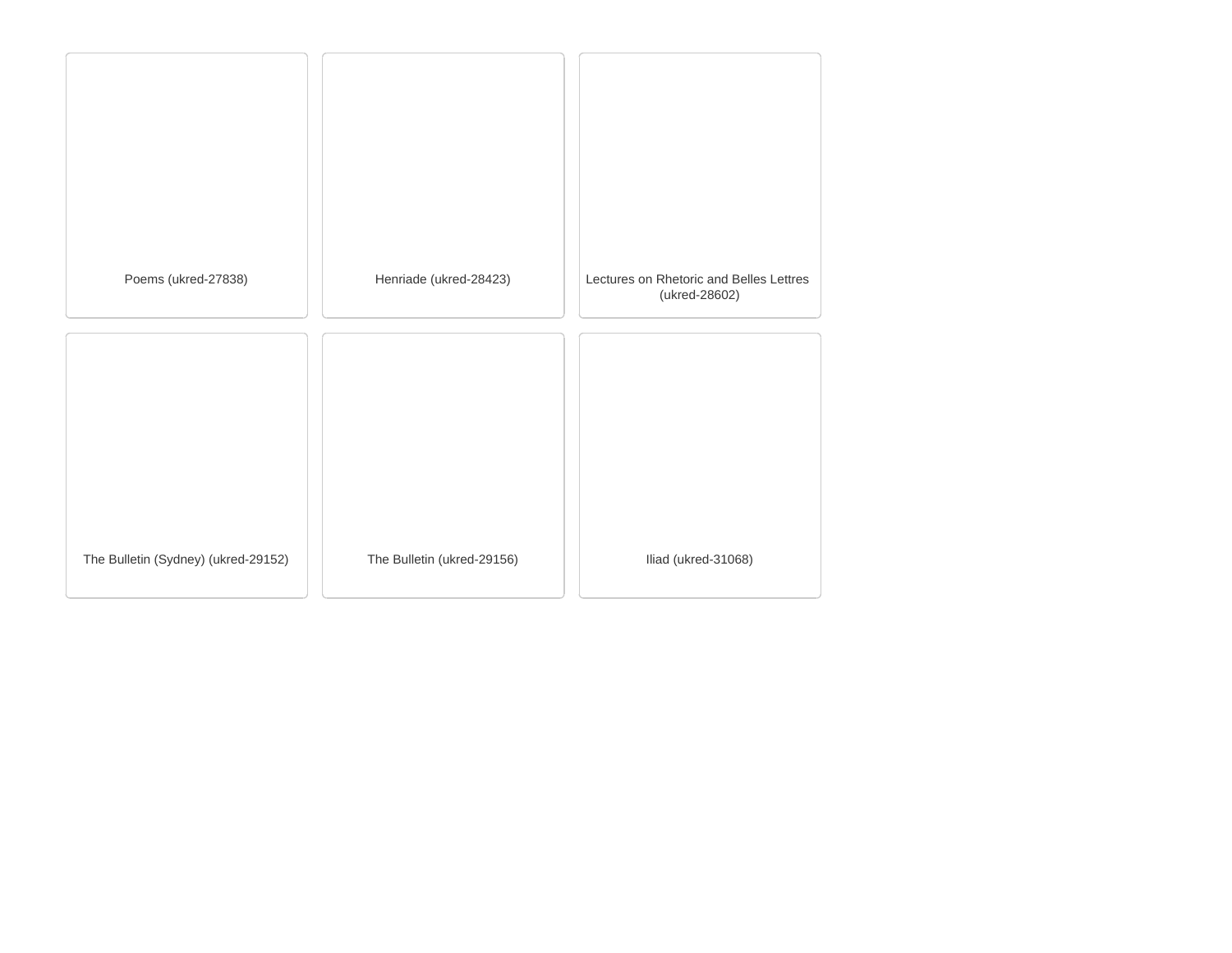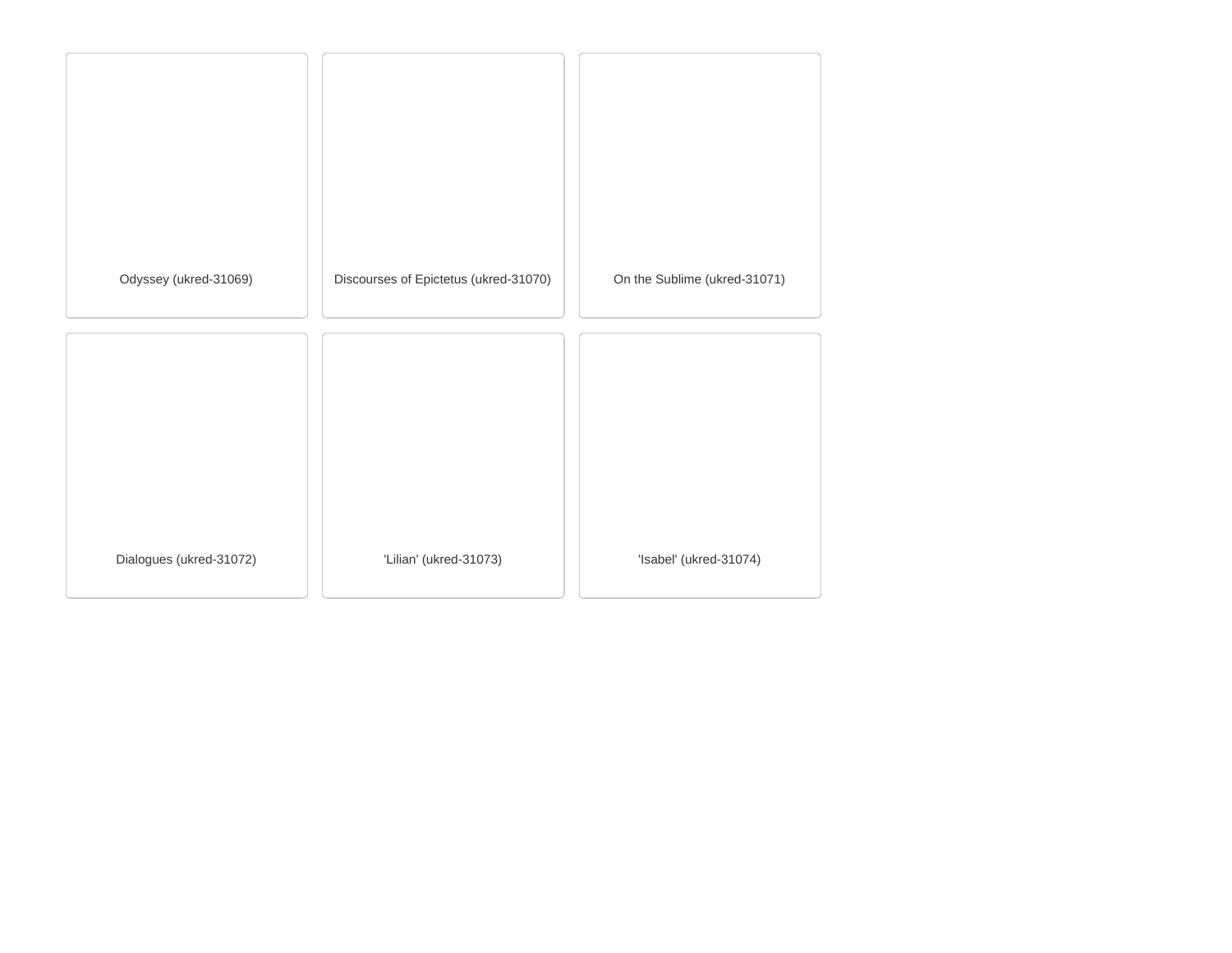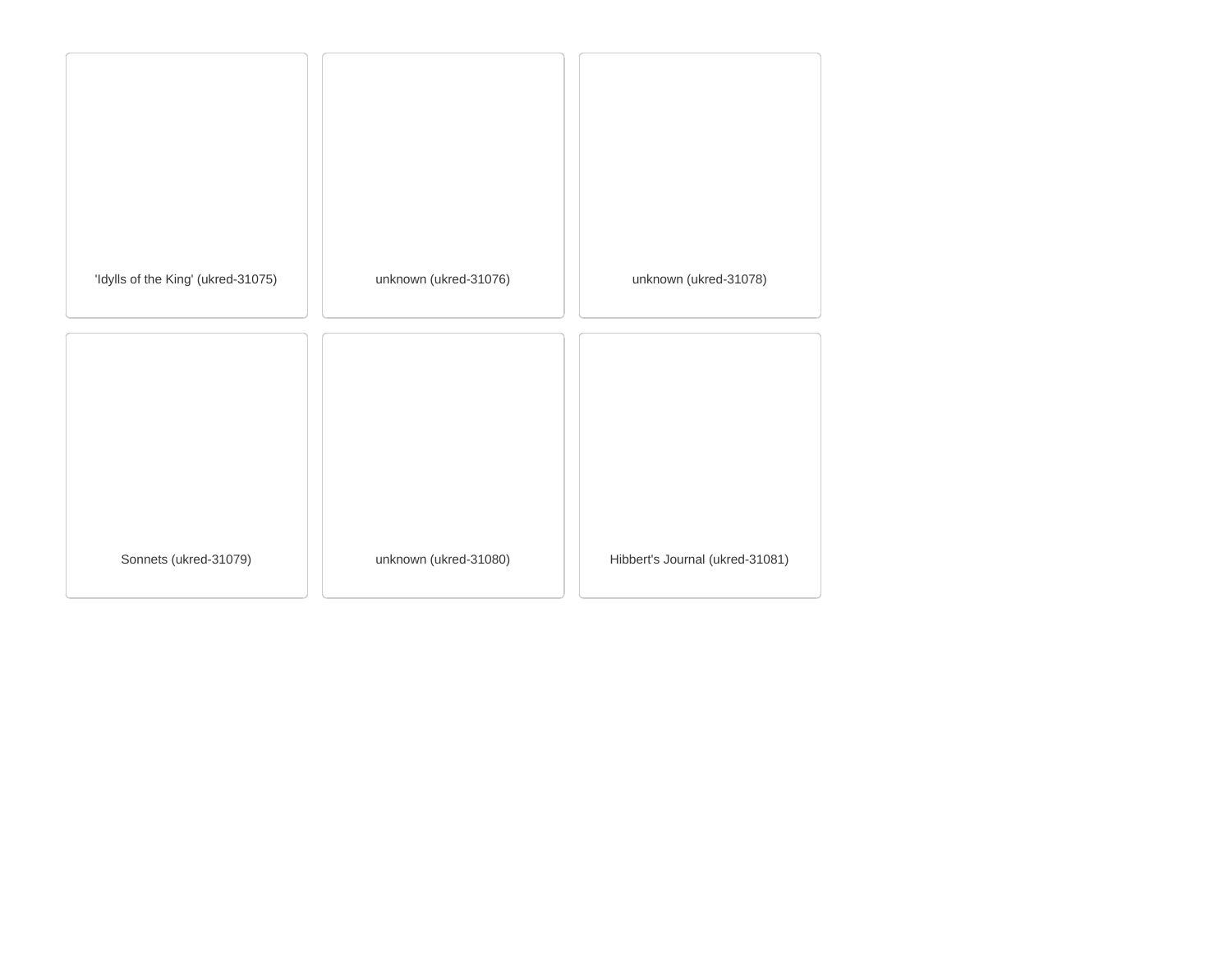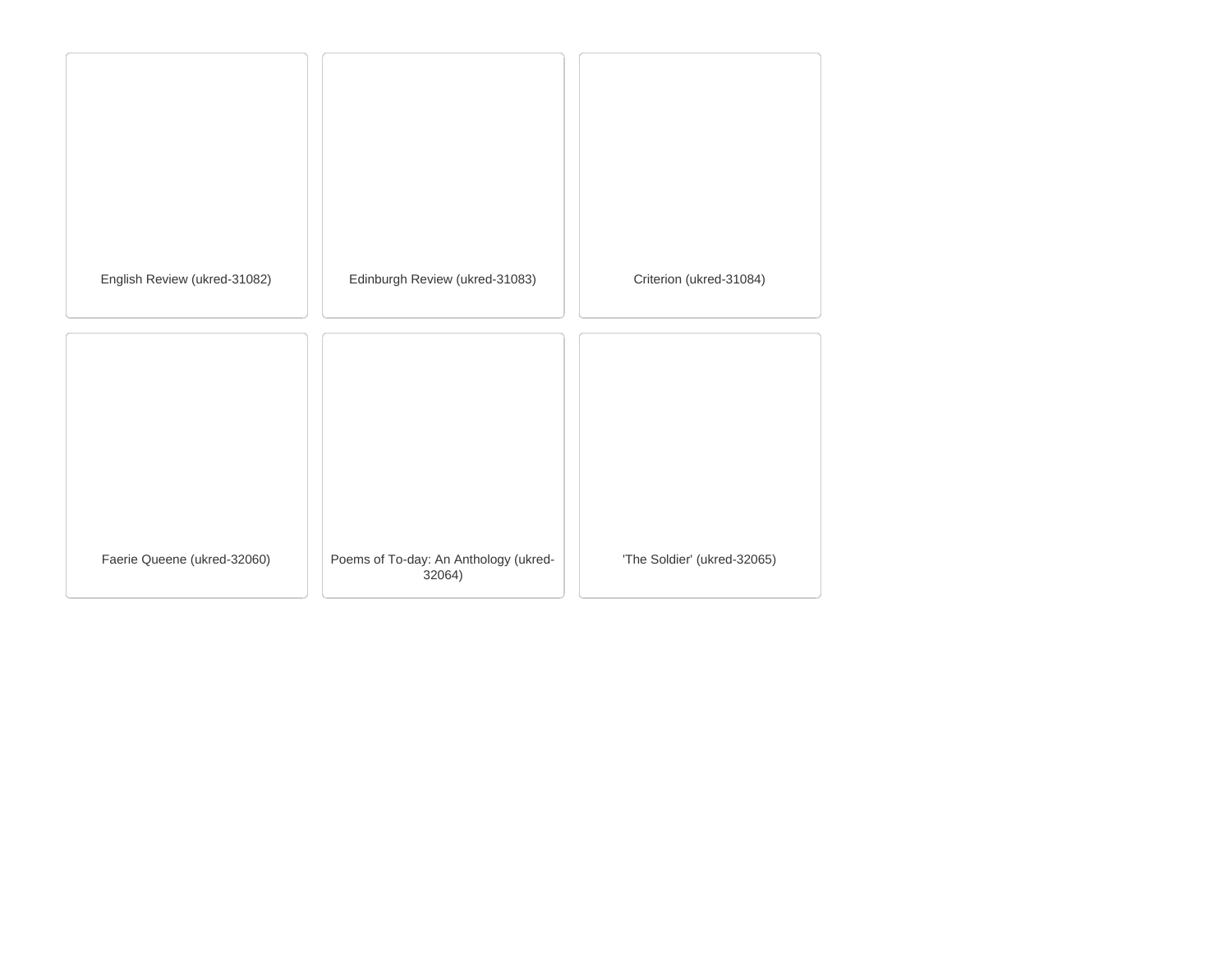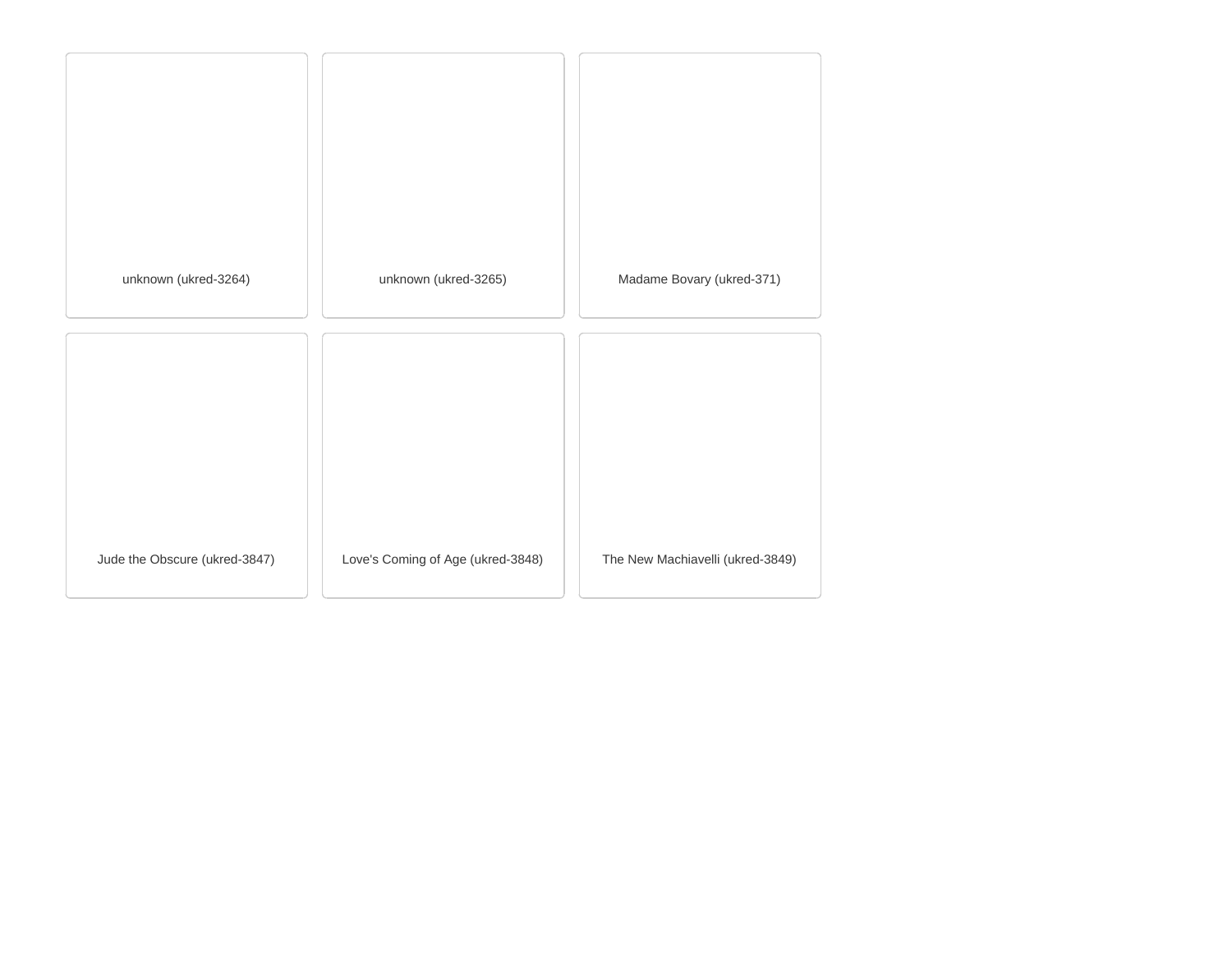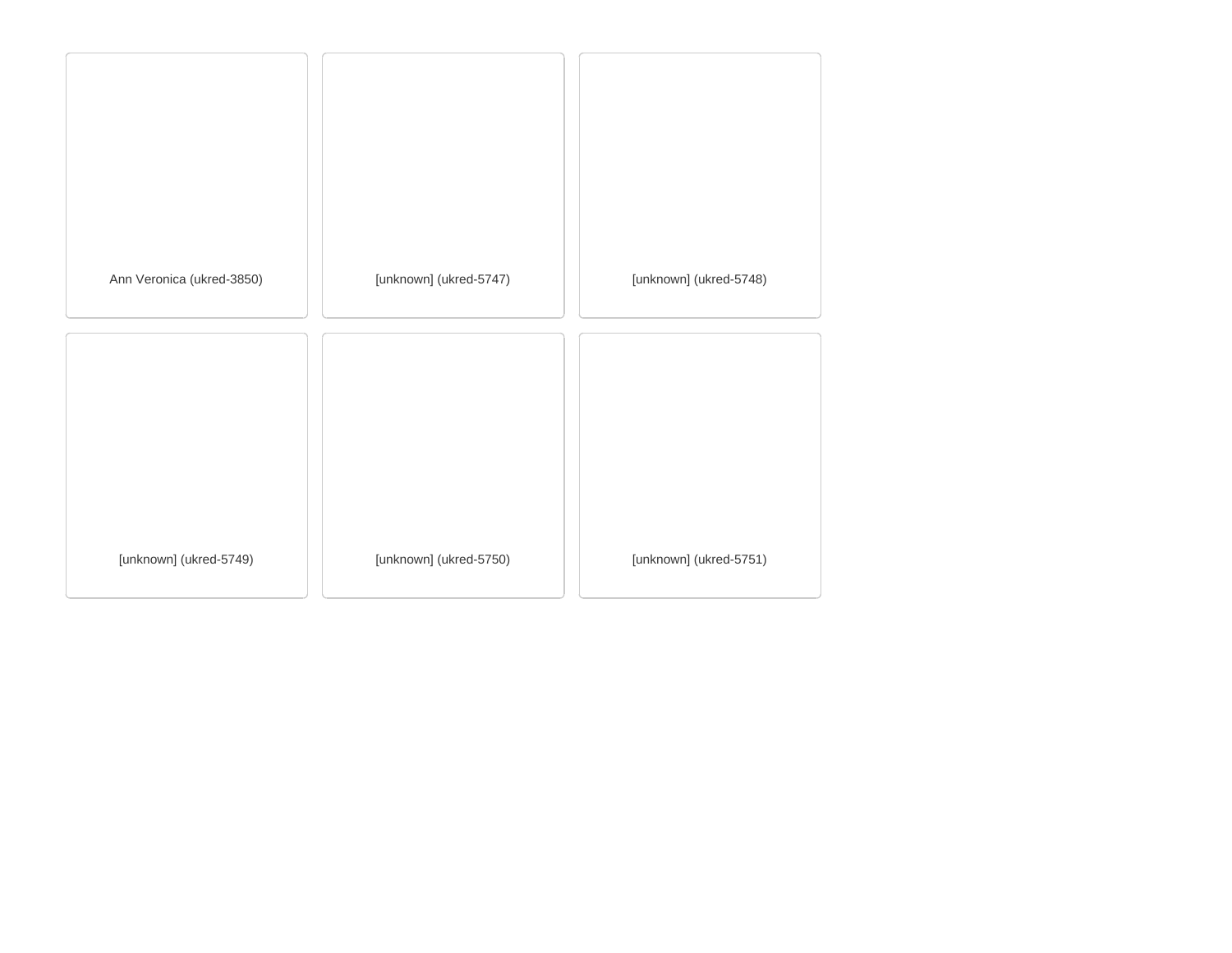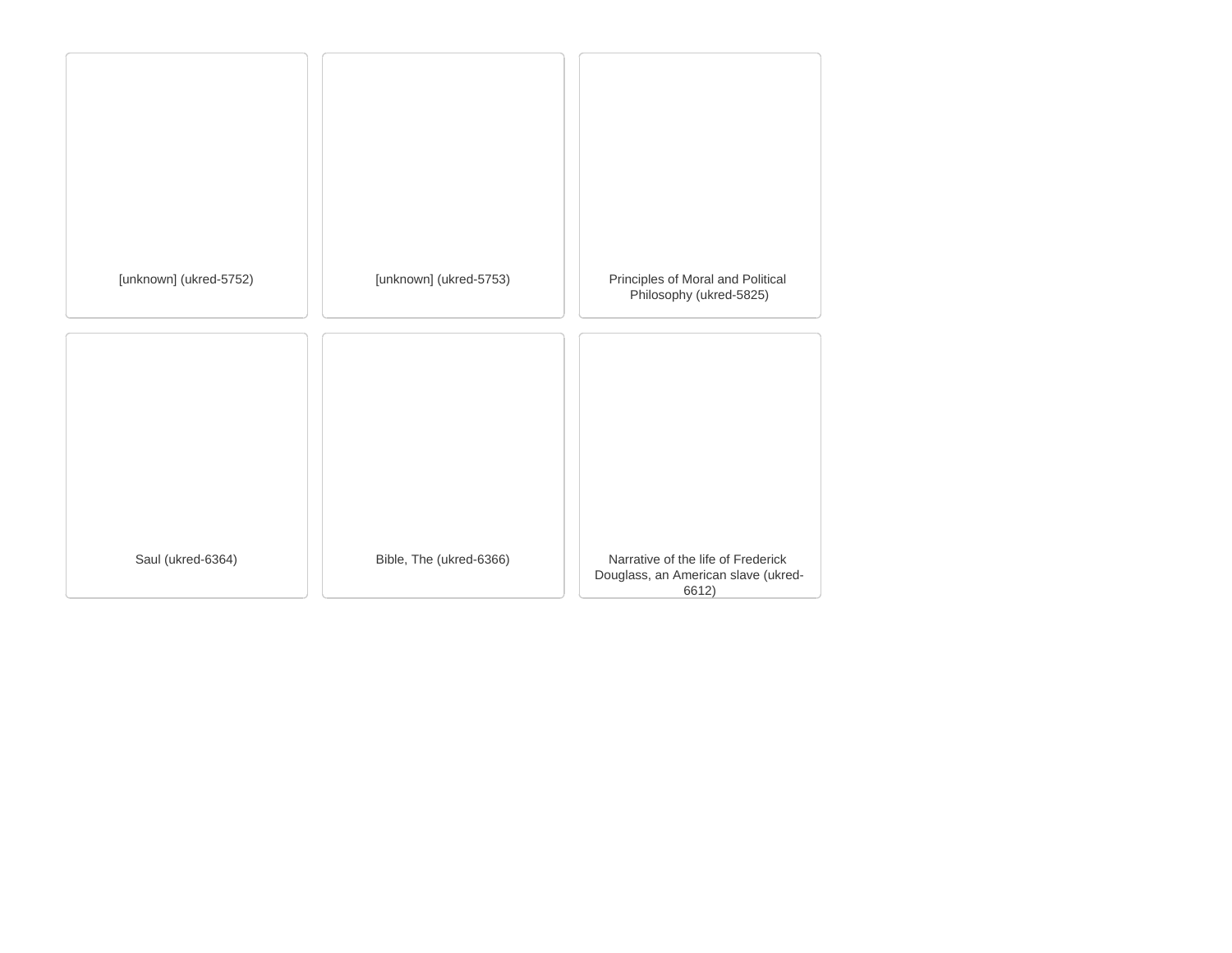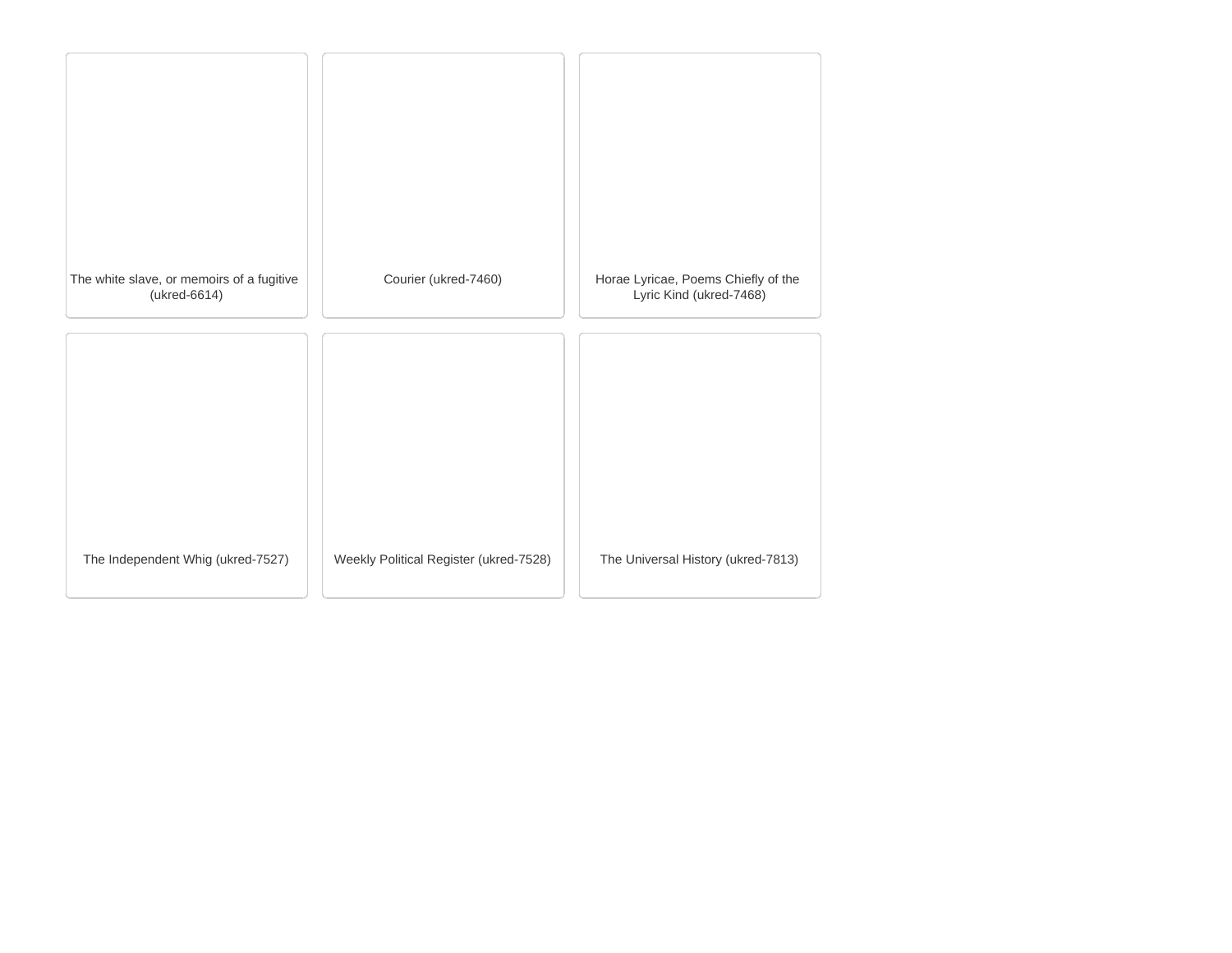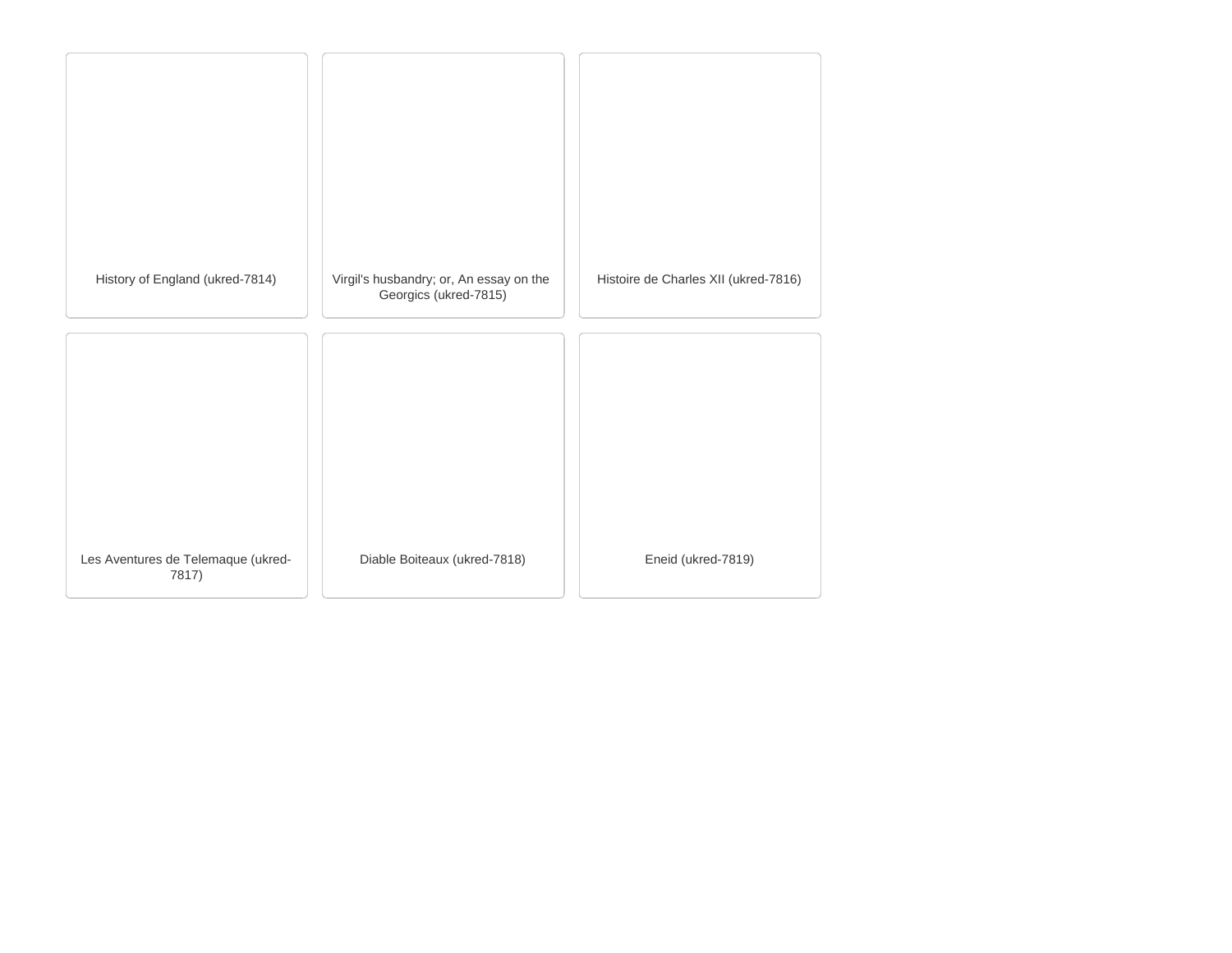